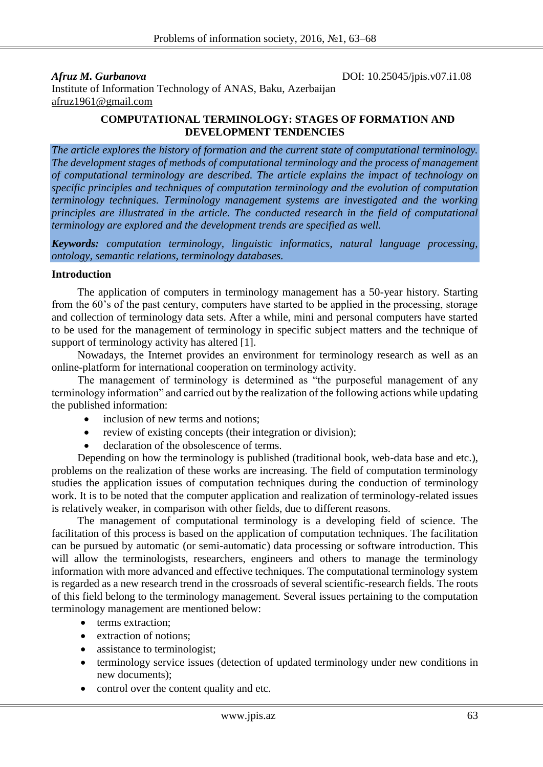*Afruz M. Gurbanova* DOI: 10.25045/jpis.v07.i1.08 Institute of Information Technology of ANAS, Baku, Azerbaijan [afruz1961@gmail.com](mailto:afruz1961@gmail.com)

## **COMPUTATIONAL TERMINOLOGY: STAGES OF FORMATION AND DEVELOPMENT TENDENCIES**

*The article explores the history of formation and the current state of computational terminology. The development stages of methods of computational terminology and the process of management of computational terminology are described. The article explains the impact of technology on specific principles and techniques of computation terminology and the evolution of computation terminology techniques. Terminology management systems are investigated and the working principles are illustrated in the article. The conducted research in the field of computational terminology are explored and the development trends are specified as well.* 

*Keywords: computation terminology, linguistic informatics, natural language processing, ontology, semantic relations, terminology databases.*

#### **Introduction**

The application of computers in terminology management has a 50-year history. Starting from the 60's of the past century, computers have started to be applied in the processing, storage and collection of terminology data sets. After a while, mini and personal computers have started to be used for the management of terminology in specific subject matters and the technique of support of terminology activity has altered [1].

Nowadays, the Internet provides an environment for terminology research as well as an online-platform for international cooperation on terminology activity.

The management of terminology is determined as "the purposeful management of any terminology information" and carried out by the realization of the following actions while updating the published information:

- inclusion of new terms and notions;
- review of existing concepts (their integration or division);
- declaration of the obsolescence of terms.

Depending on how the terminology is published (traditional book, web-data base and etc.), problems on the realization of these works are increasing. The field of computation terminology studies the application issues of computation techniques during the conduction of terminology work. It is to be noted that the computer application and realization of terminology-related issues is relatively weaker, in comparison with other fields, due to different reasons.

The management of computational terminology is a developing field of science. The facilitation of this process is based on the application of computation techniques. The facilitation can be pursued by automatic (or semi-automatic) data processing or software introduction. This will allow the terminologists, researchers, engineers and others to manage the terminology information with more advanced and effective techniques. The computational terminology system is regarded as a new research trend in the crossroads of several scientific-research fields. The roots of this field belong to the terminology management. Several issues pertaining to the computation terminology management are mentioned below:

- terms extraction:
- extraction of notions;
- assistance to terminologist;
- terminology service issues (detection of updated terminology under new conditions in new documents);
- control over the content quality and etc.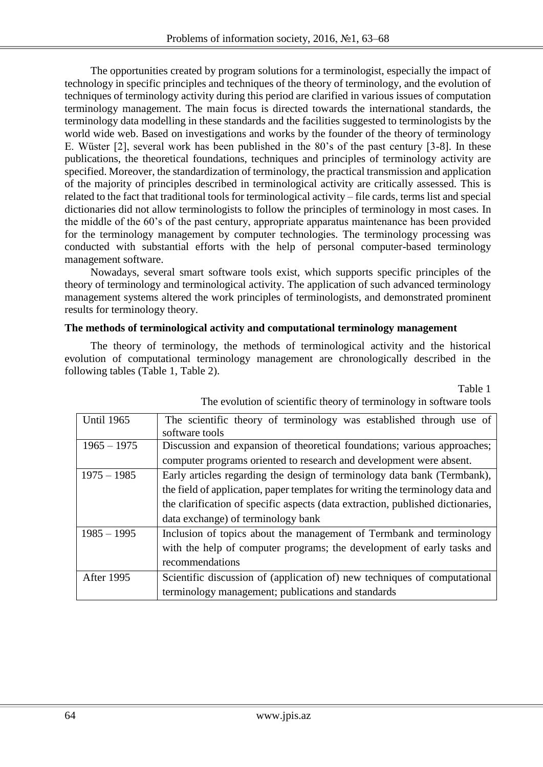The opportunities created by program solutions for a terminologist, especially the impact of technology in specific principles and techniques of the theory of terminology, and the evolution of techniques of terminology activity during this period are clarified in various issues of computation terminology management. The main focus is directed towards the international standards, the terminology data modelling in these standards and the facilities suggested to terminologists by the world wide web. Based on investigations and works by the founder of the theory of terminology E. Wüster [2], several work has been published in the 80's of the past century [3-8]. In these publications, the theoretical foundations, techniques and principles of terminology activity are specified. Moreover, the standardization of terminology, the practical transmission and application of the majority of principles described in terminological activity are critically assessed. This is related to the fact that traditional tools for terminological activity – file cards, terms list and special dictionaries did not allow terminologists to follow the principles of terminology in most cases. In the middle of the 60's of the past century, appropriate apparatus maintenance has been provided for the terminology management by computer technologies. The terminology processing was conducted with substantial efforts with the help of personal computer-based terminology management software.

Nowadays, several smart software tools exist, which supports specific principles of the theory of terminology and terminological activity. The application of such advanced terminology management systems altered the work principles of terminologists, and demonstrated prominent results for terminology theory.

## **The methods of terminological activity and computational terminology management**

The theory of terminology, the methods of terminological activity and the historical evolution of computational terminology management are chronologically described in the following tables (Table 1, Table 2).

Table 1

| <b>Until 1965</b> | The scientific theory of terminology was established through use of<br>software tools                                                                                                                                                                                               |
|-------------------|-------------------------------------------------------------------------------------------------------------------------------------------------------------------------------------------------------------------------------------------------------------------------------------|
| $1965 - 1975$     | Discussion and expansion of theoretical foundations; various approaches;<br>computer programs oriented to research and development were absent.                                                                                                                                     |
| $1975 - 1985$     | Early articles regarding the design of terminology data bank (Termbank),<br>the field of application, paper templates for writing the terminology data and<br>the clarification of specific aspects (data extraction, published dictionaries,<br>data exchange) of terminology bank |
| $1985 - 1995$     | Inclusion of topics about the management of Termbank and terminology<br>with the help of computer programs; the development of early tasks and<br>recommendations                                                                                                                   |
| <b>After 1995</b> | Scientific discussion of (application of) new techniques of computational<br>terminology management; publications and standards                                                                                                                                                     |

The evolution of scientific theory of terminology in software tools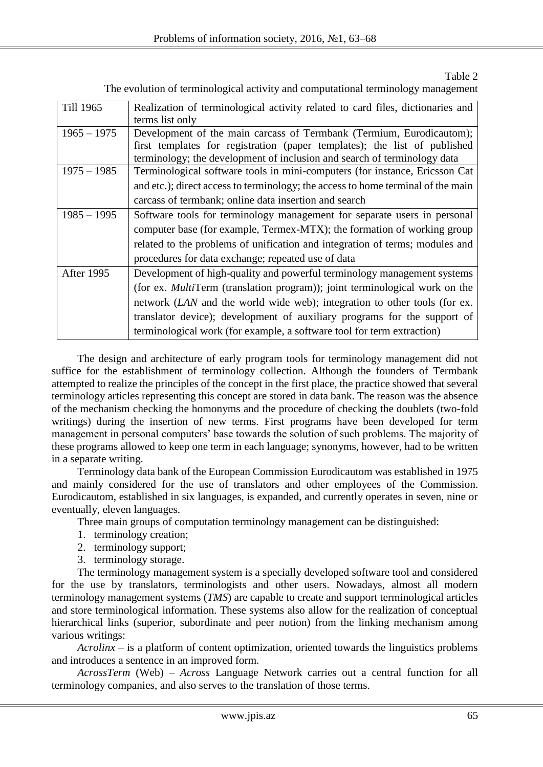Table 2

| Till 1965         | Realization of terminological activity related to card files, dictionaries and     |
|-------------------|------------------------------------------------------------------------------------|
|                   | terms list only                                                                    |
| $1965 - 1975$     | Development of the main carcass of Termbank (Termium, Eurodicautom);               |
|                   | first templates for registration (paper templates); the list of published          |
|                   | terminology; the development of inclusion and search of terminology data           |
| $1975 - 1985$     | Terminological software tools in mini-computers (for instance, Ericsson Cat        |
|                   | and etc.); direct access to terminology; the access to home terminal of the main   |
|                   | carcass of termbank; online data insertion and search                              |
| $1985 - 1995$     | Software tools for terminology management for separate users in personal           |
|                   | computer base (for example, Termex-MTX); the formation of working group            |
|                   | related to the problems of unification and integration of terms; modules and       |
|                   | procedures for data exchange; repeated use of data                                 |
| <b>After 1995</b> | Development of high-quality and powerful terminology management systems            |
|                   | (for ex. <i>MultiTerm</i> (translation program)); joint terminological work on the |
|                   | network (LAN and the world wide web); integration to other tools (for ex.          |
|                   | translator device); development of auxiliary programs for the support of           |
|                   | terminological work (for example, a software tool for term extraction)             |
|                   |                                                                                    |

The evolution of terminological activity and computational terminology management

The design and architecture of early program tools for terminology management did not suffice for the establishment of terminology collection. Although the founders of Termbank attempted to realize the principles of the concept in the first place, the practice showed that several terminology articles representing this concept are stored in data bank. The reason was the absence of the mechanism checking the homonyms and the procedure of checking the doublets (two-fold writings) during the insertion of new terms. First programs have been developed for term management in personal computers' base towards the solution of such problems. The majority of these programs allowed to keep one term in each language; synonyms, however, had to be written in a separate writing.

Terminology data bank of the European Commission Eurodicautom was established in 1975 and mainly considered for the use of translators and other employees of the Commission. Eurodicautom, established in six languages, is expanded, and currently operates in seven, nine or eventually, eleven languages.

Three main groups of computation terminology management can be distinguished:

- 1. terminology creation;
- 2. terminology support;
- 3. terminology storage.

The terminology management system is a specially developed software tool and considered for the use by translators, terminologists and other users. Nowadays, almost all modern terminology management systems (*TMS*) are capable to create and support terminological articles and store terminological information. These systems also allow for the realization of conceptual hierarchical links (superior, subordinate and peer notion) from the linking mechanism among various writings:

*Acrolinx* – is a platform of content optimization, oriented towards the linguistics problems and introduces a sentence in an improved form.

*[AcrossTerm](http://www.across.net/en/index.aspx)* (Web) – *Across* Language Network carries out a central function for all terminology companies, and also serves to the translation of those terms.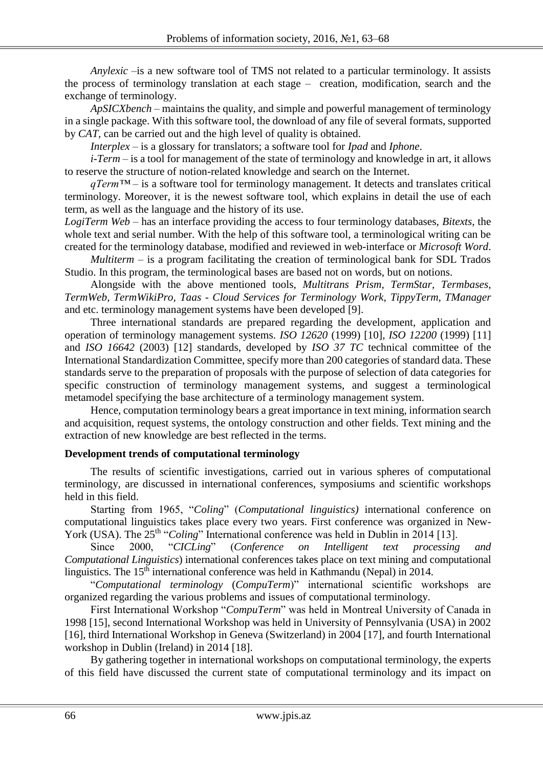*[Anylexic](http://www.anylexic.com/en/)* –is a new software tool of TMS not related to a particular terminology. It assists the process of terminology translation at each stage – creation, modification, search and the exchange of terminology.

*[ApSICXbench](http://www.xbench.net/?rd=y)* – maintains the quality, and simple and powerful management of terminology in a single package. With this software tool, the download of any file of several formats, supported by *CAT,* can be carried out and the high level of quality is obtained.

*[Interplex](http://www.fourwillows.com/interplex.html)* – is a glossary for translators; a software tool for *Ipad* and *Iphone*.

*i-Term* – is a tool for management of the state of terminology and knowledge in art, it allows to reserve the structure of notion-related knowledge and search on the Internet.

*[qTerm™](http://advancedlanguage.com/services/translation/terminology-management/)* – is a software tool for terminology management. It detects and translates critical terminology. Moreover, it is the newest software tool, which explains in detail the use of each term, as well as the language and the history of its use.

*[LogiTerm Web](http://terminotix.com/index.asp?content=category&cat=4&lang=en)* – has an interface providing the access to four terminology databases, *Bitexts*, the whole text and serial number. With the help of this software tool, a terminological writing can be created for the terminology database, modified and reviewed in web-interface or *Microsoft Word*.

*[Multiterm](http://www.sdl.com/products/sdl-multiterm/desktop.html)* – is a program facilitating the creation of terminological bank for SDL Trados Studio. In this program, the terminological bases are based not on words, but on notions.

Alongside with the above mentioned tools, *Multitrans Prism, [TermStar,](http://www.star-group.net/ENU/group-termstar-nxt/termstar.html) [Termbases,](http://www.termbases.eu/) [TermWeb,](http://www.interverbumtech.com/) [TermWikiPro,](http://en.termwiki.com/pro) [Taas](http://demo.taas-project.eu/) - Cloud Services for [Terminology Work,](http://demo.taas-project.eu/) [TippyTerm,](http://www.syskon.com/tippyterm-31.html) [TManager](http://www.rafaelguzman.ie/resources/t-manager/index.php)* and etc. terminology management systems have been developed [9].

Three international standards are prepared regarding the development, application and operation of terminology management systems. *ISO 12620* (1999) [10], *ISO 12200* (1999) [11] and *ISO 16642* (2003) [12] standards, developed by *ISO 37 TC* technical committee of the International Standardization Committee, specify more than 200 categories of standard data. These standards serve to the preparation of proposals with the purpose of selection of data categories for specific construction of terminology management systems, and suggest a terminological metamodel specifying the base architecture of a terminology management system.

Hence, computation terminology bears a great importance in text mining, information search and acquisition, request systems, the ontology construction and other fields. Text mining and the extraction of new knowledge are best reflected in the terms.

## **Development trends of computational terminology**

The results of scientific investigations, carried out in various spheres of computational terminology, are discussed in international conferences, symposiums and scientific workshops held in this field.

Starting from 1965, "*Coling*" (*Computational linguistics)* international conference on computational linguistics takes place every two years. First conference was organized in New-York (USA). The 25<sup>th "</sup>Coling" International conference was held in Dublin in 2014 [13].

Since 2000, "*CICLing*" (*Conference on Intelligent text processing and Computational Linguistics*) international conferences takes place on text mining and computational linguistics. The 15<sup>th</sup> international conference was held in Kathmandu (Nepal) in 2014.

"*Computational terminology* (*CompuTerm*)" international scientific workshops are organized regarding the various problems and issues of computational terminology.

First International Workshop "*CompuTerm*" was held in Montreal University of Canada in 1998 [15], second International Workshop was held in University of Pennsylvania (USA) in 2002 [16], third International Workshop in Geneva (Switzerland) in 2004 [17], and fourth International workshop in Dublin (Ireland) in 2014 [18].

By gathering together in international workshops on computational terminology, the experts of this field have discussed the current state of computational terminology and its impact on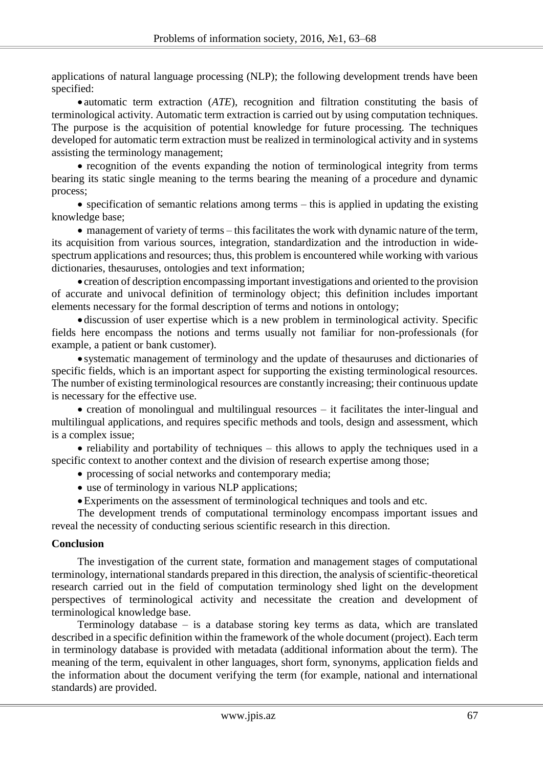applications of natural language processing (NLP); the following development trends have been specified:

• automatic term extraction (*ATE*), recognition and filtration constituting the basis of terminological activity. Automatic term extraction is carried out by using computation techniques. The purpose is the acquisition of potential knowledge for future processing. The techniques developed for automatic term extraction must be realized in terminological activity and in systems assisting the terminology management;

• recognition of the events expanding the notion of terminological integrity from terms bearing its static single meaning to the terms bearing the meaning of a procedure and dynamic process;

 $\bullet$  specification of semantic relations among terms – this is applied in updating the existing knowledge base;

 management of variety of terms – this facilitates the work with dynamic nature of the term, its acquisition from various sources, integration, standardization and the introduction in widespectrum applications and resources; thus, this problem is encountered while working with various dictionaries, thesauruses, ontologies and text information;

 creation of description encompassing important investigations and oriented to the provision of accurate and univocal definition of terminology object; this definition includes important elements necessary for the formal description of terms and notions in ontology;

 discussion of user expertise which is a new problem in terminological activity. Specific fields here encompass the notions and terms usually not familiar for non-professionals (for example, a patient or bank customer).

 systematic management of terminology and the update of thesauruses and dictionaries of specific fields, which is an important aspect for supporting the existing terminological resources. The number of existing terminological resources are constantly increasing; their continuous update is necessary for the effective use.

 $\bullet$  creation of monolingual and multilingual resources – it facilitates the inter-lingual and multilingual applications, and requires specific methods and tools, design and assessment, which is a complex issue;

• reliability and portability of techniques – this allows to apply the techniques used in a specific context to another context and the division of research expertise among those;

- processing of social networks and contemporary media;
- use of terminology in various NLP applications;
- Experiments on the assessment of terminological techniques and tools and etc.

The development trends of computational terminology encompass important issues and reveal the necessity of conducting serious scientific research in this direction.

#### **Conclusion**

The investigation of the current state, formation and management stages of computational terminology, international standards prepared in this direction, the analysis of scientific-theoretical research carried out in the field of computation terminology shed light on the development perspectives of terminological activity and necessitate the creation and development of terminological knowledge base.

Terminology database – is a database storing key terms as data, which are translated described in a specific definition within the framework of the whole document (project). Each term in terminology database is provided with metadata (additional information about the term). The meaning of the term, equivalent in other languages, short form, synonyms, application fields and the information about the document verifying the term (for example, national and international standards) are provided.